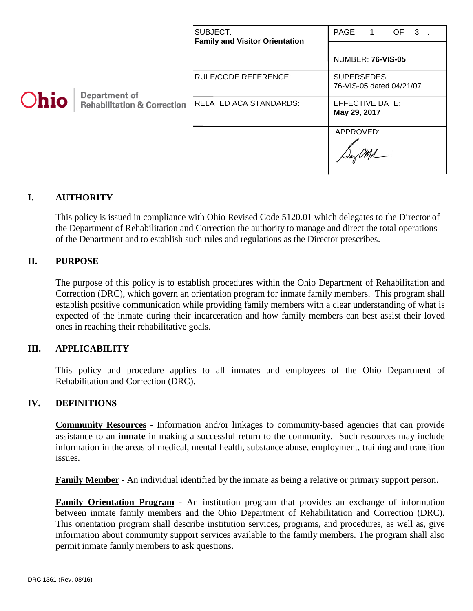| <b>Ohio</b> | <b>Department of</b><br><b>Rehabilitation &amp; Correction</b> | SUBJECT:<br><b>Family and Visitor Orientation</b> | PAGE 1 OF 3 .                           |
|-------------|----------------------------------------------------------------|---------------------------------------------------|-----------------------------------------|
|             |                                                                |                                                   | <b>NUMBER: 76-VIS-05</b>                |
|             |                                                                | RULE/CODE REFERENCE:                              | SUPERSEDES:<br>76-VIS-05 dated 04/21/07 |
|             |                                                                | RELATED ACA STANDARDS:                            | EFFECTIVE DATE:<br>May 29, 2017         |
|             |                                                                |                                                   | APPROVED:                               |

## **I. AUTHORITY**

This policy is issued in compliance with Ohio Revised Code 5120.01 which delegates to the Director of the Department of Rehabilitation and Correction the authority to manage and direct the total operations of the Department and to establish such rules and regulations as the Director prescribes.

## **II. PURPOSE**

The purpose of this policy is to establish procedures within the Ohio Department of Rehabilitation and Correction (DRC), which govern an orientation program for inmate family members. This program shall establish positive communication while providing family members with a clear understanding of what is expected of the inmate during their incarceration and how family members can best assist their loved ones in reaching their rehabilitative goals.

#### **III. APPLICABILITY**

This policy and procedure applies to all inmates and employees of the Ohio Department of Rehabilitation and Correction (DRC).

#### **IV. DEFINITIONS**

**Community Resources** - Information and/or linkages to community-based agencies that can provide assistance to an **inmate** in making a successful return to the community. Such resources may include information in the areas of medical, mental health, substance abuse, employment, training and transition issues.

**Family Member** - An individual identified by the inmate as being a relative or primary support person.

**Family Orientation Program** - An institution program that provides an exchange of information between inmate family members and the Ohio Department of Rehabilitation and Correction (DRC). This orientation program shall describe institution services, programs, and procedures, as well as, give information about community support services available to the family members. The program shall also permit inmate family members to ask questions.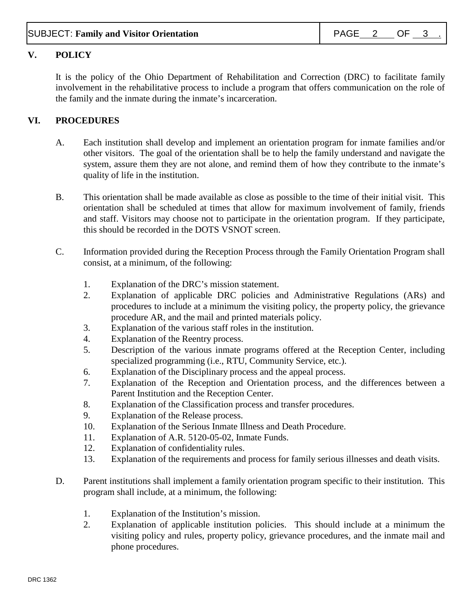# **V. POLICY**

It is the policy of the Ohio Department of Rehabilitation and Correction (DRC) to facilitate family involvement in the rehabilitative process to include a program that offers communication on the role of the family and the inmate during the inmate's incarceration.

# **VI. PROCEDURES**

- A. Each institution shall develop and implement an orientation program for inmate families and/or other visitors. The goal of the orientation shall be to help the family understand and navigate the system, assure them they are not alone, and remind them of how they contribute to the inmate's quality of life in the institution.
- B. This orientation shall be made available as close as possible to the time of their initial visit. This orientation shall be scheduled at times that allow for maximum involvement of family, friends and staff. Visitors may choose not to participate in the orientation program. If they participate, this should be recorded in the DOTS VSNOT screen.
- C. Information provided during the Reception Process through the Family Orientation Program shall consist, at a minimum, of the following:
	- 1. Explanation of the DRC's mission statement.
	- 2. Explanation of applicable DRC policies and Administrative Regulations (ARs) and procedures to include at a minimum the visiting policy, the property policy, the grievance procedure AR, and the mail and printed materials policy.
	- 3. Explanation of the various staff roles in the institution.
	- 4. Explanation of the Reentry process.
	- 5. Description of the various inmate programs offered at the Reception Center, including specialized programming (i.e., RTU, Community Service, etc.).
	- 6. Explanation of the Disciplinary process and the appeal process.
	- 7. Explanation of the Reception and Orientation process, and the differences between a Parent Institution and the Reception Center.
	- 8. Explanation of the Classification process and transfer procedures.
	- 9. Explanation of the Release process.
	- 10. Explanation of the Serious Inmate Illness and Death Procedure.
	- 11. Explanation of A.R. 5120-05-02, Inmate Funds.
	- 12. Explanation of confidentiality rules.
	- 13. Explanation of the requirements and process for family serious illnesses and death visits.
- D. Parent institutions shall implement a family orientation program specific to their institution. This program shall include, at a minimum, the following:
	- 1. Explanation of the Institution's mission.
	- 2. Explanation of applicable institution policies. This should include at a minimum the visiting policy and rules, property policy, grievance procedures, and the inmate mail and phone procedures.